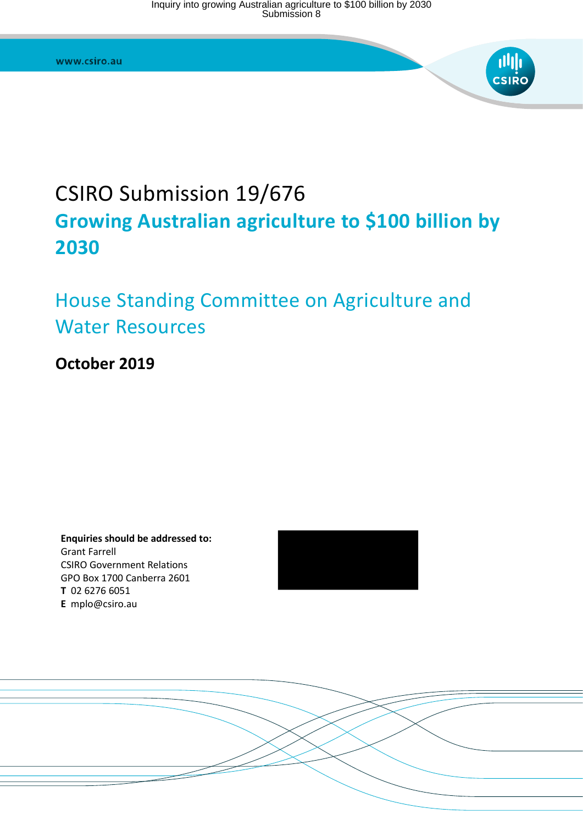

# CSIRO Submission 19/676 **Growing Australian agriculture to \$100 billion by 2030**

# House Standing Committee on Agriculture and Water Resources

## **October 2019**

**Enquiries should be addressed to:**  Grant Farrell CSIRO Government Relations GPO Box 1700 Canberra 2601 **T** 02 6276 6051 **E** mplo@csiro.au



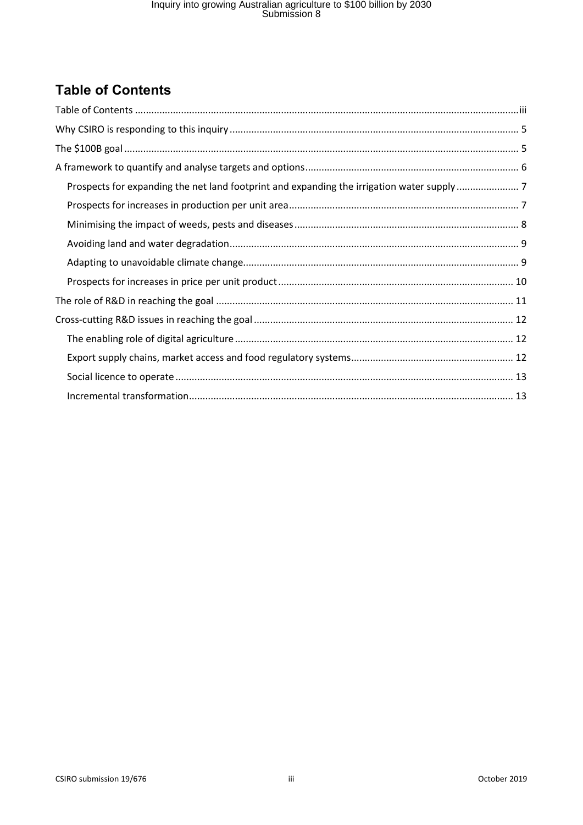## <span id="page-2-0"></span>**Table of Contents**

| Prospects for expanding the net land footprint and expanding the irrigation water supply7 |
|-------------------------------------------------------------------------------------------|
|                                                                                           |
|                                                                                           |
|                                                                                           |
|                                                                                           |
|                                                                                           |
|                                                                                           |
|                                                                                           |
|                                                                                           |
|                                                                                           |
|                                                                                           |
|                                                                                           |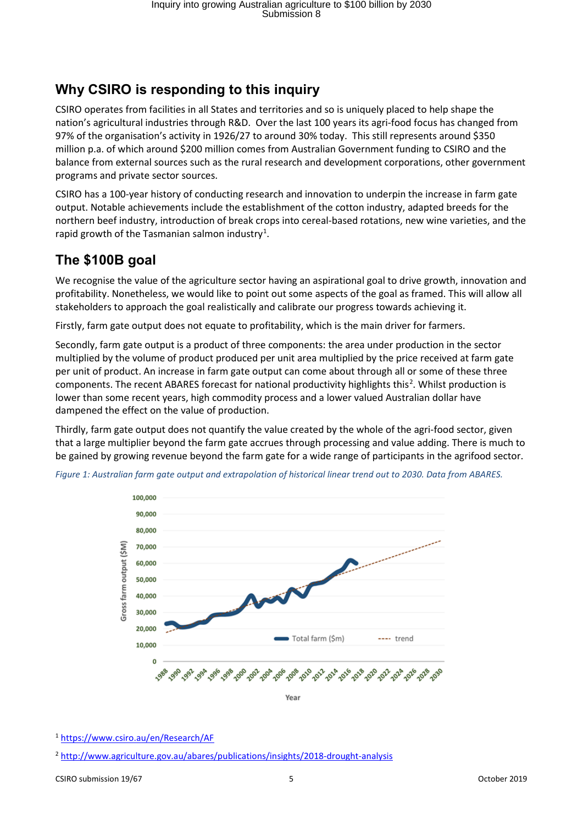### <span id="page-4-0"></span>**Why CSIRO is responding to this inquiry**

CSIRO operates from facilities in all States and territories and so is uniquely placed to help shape the nation's agricultural industries through R&D. Over the last 100 years its agri-food focus has changed from 97% of the organisation's activity in 1926/27 to around 30% today. This still represents around \$350 million p.a. of which around \$200 million comes from Australian Government funding to CSIRO and the balance from external sources such as the rural research and development corporations, other government programs and private sector sources.

CSIRO has a 100-year history of conducting research and innovation to underpin the increase in farm gate output. Notable achievements include the establishment of the cotton industry, adapted breeds for the northern beef industry, introduction of break crops into cereal-based rotations, new wine varieties, and the rapid growth of the Tasmanian salmon industry<sup>[1](#page-4-2)</sup>.

### <span id="page-4-1"></span>**The \$100B goal**

We recognise the value of the agriculture sector having an aspirational goal to drive growth, innovation and profitability. Nonetheless, we would like to point out some aspects of the goal as framed. This will allow all stakeholders to approach the goal realistically and calibrate our progress towards achieving it.

Firstly, farm gate output does not equate to profitability, which is the main driver for farmers.

Secondly, farm gate output is a product of three components: the area under production in the sector multiplied by the volume of product produced per unit area multiplied by the price received at farm gate per unit of product. An increase in farm gate output can come about through all or some of these three components. The recent ABARES forecast for national productivity highlights this<sup>[2](#page-4-3)</sup>. Whilst production is lower than some recent years, high commodity process and a lower valued Australian dollar have dampened the effect on the value of production.

Thirdly, farm gate output does not quantify the value created by the whole of the agri-food sector, given that a large multiplier beyond the farm gate accrues through processing and value adding. There is much to be gained by growing revenue beyond the farm gate for a wide range of participants in the agrifood sector.



*Figure 1: Australian farm gate output and extrapolation of historical linear trend out to 2030. Data from ABARES.*

<span id="page-4-2"></span><sup>1</sup> <https://www.csiro.au/en/Research/AF>

<span id="page-4-3"></span><sup>2</sup> <http://www.agriculture.gov.au/abares/publications/insights/2018-drought-analysis>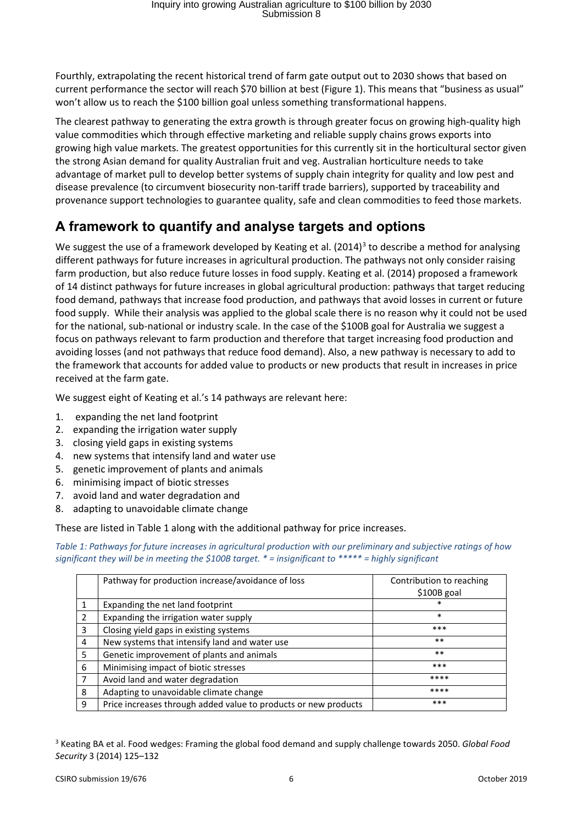Fourthly, extrapolating the recent historical trend of farm gate output out to 2030 shows that based on current performance the sector will reach \$70 billion at best (Figure 1). This means that "business as usual" won't allow us to reach the \$100 billion goal unless something transformational happens.

The clearest pathway to generating the extra growth is through greater focus on growing high-quality high value commodities which through effective marketing and reliable supply chains grows exports into growing high value markets. The greatest opportunities for this currently sit in the horticultural sector given the strong Asian demand for quality Australian fruit and veg. Australian horticulture needs to take advantage of market pull to develop better systems of supply chain integrity for quality and low pest and disease prevalence (to circumvent biosecurity non-tariff trade barriers), supported by traceability and provenance support technologies to guarantee quality, safe and clean commodities to feed those markets.

### <span id="page-5-0"></span>**A framework to quantify and analyse targets and options**

We suggest the use of a framework developed by Keating et al.  $(2014)^3$  $(2014)^3$  to describe a method for analysing different pathways for future increases in agricultural production. The pathways not only consider raising farm production, but also reduce future losses in food supply. Keating et al. (2014) proposed a framework of 14 distinct pathways for future increases in global agricultural production: pathways that target reducing food demand, pathways that increase food production, and pathways that avoid losses in current or future food supply. While their analysis was applied to the global scale there is no reason why it could not be used for the national, sub-national or industry scale. In the case of the \$100B goal for Australia we suggest a focus on pathways relevant to farm production and therefore that target increasing food production and avoiding losses (and not pathways that reduce food demand). Also, a new pathway is necessary to add to the framework that accounts for added value to products or new products that result in increases in price received at the farm gate.

We suggest eight of Keating et al.'s 14 pathways are relevant here:

- 1. expanding the net land footprint
- 2. expanding the irrigation water supply
- 3. closing yield gaps in existing systems
- 4. new systems that intensify land and water use
- 5. genetic improvement of plants and animals
- 6. minimising impact of biotic stresses
- 7. avoid land and water degradation and
- 8. adapting to unavoidable climate change

These are listed in Table 1 along with the additional pathway for price increases.

*Table 1: Pathways for future increases in agricultural production with our preliminary and subjective ratings of how significant they will be in meeting the \$100B target. \* = insignificant to \*\*\*\*\* = highly significant*

|                | Pathway for production increase/avoidance of loss               | Contribution to reaching<br>\$100B goal |
|----------------|-----------------------------------------------------------------|-----------------------------------------|
| $\mathbf{1}$   | Expanding the net land footprint                                | $\ast$                                  |
| 2              | Expanding the irrigation water supply                           | $\ast$                                  |
| 3              | Closing yield gaps in existing systems                          | ***                                     |
| $\overline{a}$ | New systems that intensify land and water use                   | $***$                                   |
| -5             | Genetic improvement of plants and animals                       | $***$                                   |
| 6              | Minimising impact of biotic stresses                            | ***                                     |
| $\overline{7}$ | Avoid land and water degradation                                | ****                                    |
| 8              | Adapting to unavoidable climate change                          | ****                                    |
| q              | Price increases through added value to products or new products | ***                                     |

<span id="page-5-1"></span><sup>3</sup> Keating BA et al. Food wedges: Framing the global food demand and supply challenge towards 2050. *Global Food Security* 3 (2014) 125–132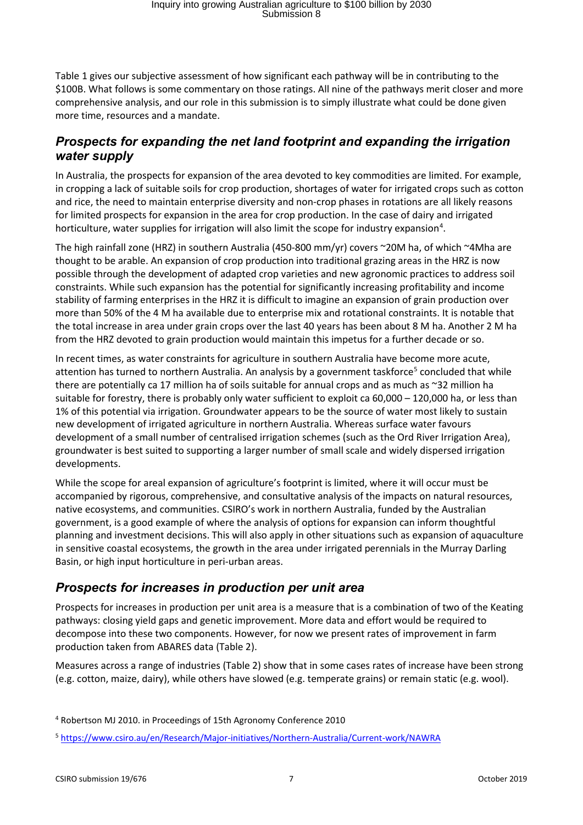Table 1 gives our subjective assessment of how significant each pathway will be in contributing to the \$100B. What follows is some commentary on those ratings. All nine of the pathways merit closer and more comprehensive analysis, and our role in this submission is to simply illustrate what could be done given more time, resources and a mandate.

#### <span id="page-6-0"></span>*Prospects for expanding the net land footprint and expanding the irrigation water supply*

In Australia, the prospects for expansion of the area devoted to key commodities are limited. For example, in cropping a lack of suitable soils for crop production, shortages of water for irrigated crops such as cotton and rice, the need to maintain enterprise diversity and non-crop phases in rotations are all likely reasons for limited prospects for expansion in the area for crop production. In the case of dairy and irrigated horticulture, water supplies for irrigation will also limit the scope for industry expansion<sup>[4](#page-6-2)</sup>.

The high rainfall zone (HRZ) in southern Australia (450-800 mm/yr) covers ~20M ha, of which ~4Mha are thought to be arable. An expansion of crop production into traditional grazing areas in the HRZ is now possible through the development of adapted crop varieties and new agronomic practices to address soil constraints. While such expansion has the potential for significantly increasing profitability and income stability of farming enterprises in the HRZ it is difficult to imagine an expansion of grain production over more than 50% of the 4 M ha available due to enterprise mix and rotational constraints. It is notable that the total increase in area under grain crops over the last 40 years has been about 8 M ha. Another 2 M ha from the HRZ devoted to grain production would maintain this impetus for a further decade or so.

In recent times, as water constraints for agriculture in southern Australia have become more acute, attention has turned to northern Australia. An analysis by a government taskforce<sup>[5](#page-6-3)</sup> concluded that while there are potentially ca 17 million ha of soils suitable for annual crops and as much as ~32 million ha suitable for forestry, there is probably only water sufficient to exploit ca 60,000 – 120,000 ha, or less than 1% of this potential via irrigation. Groundwater appears to be the source of water most likely to sustain new development of irrigated agriculture in northern Australia. Whereas surface water favours development of a small number of centralised irrigation schemes (such as the Ord River Irrigation Area), groundwater is best suited to supporting a larger number of small scale and widely dispersed irrigation developments.

While the scope for areal expansion of agriculture's footprint is limited, where it will occur must be accompanied by rigorous, comprehensive, and consultative analysis of the impacts on natural resources, native ecosystems, and communities. CSIRO's work in northern Australia, funded by the Australian government, is a good example of where the analysis of options for expansion can inform thoughtful planning and investment decisions. This will also apply in other situations such as expansion of aquaculture in sensitive coastal ecosystems, the growth in the area under irrigated perennials in the Murray Darling Basin, or high input horticulture in peri-urban areas.

#### <span id="page-6-1"></span>*Prospects for increases in production per unit area*

Prospects for increases in production per unit area is a measure that is a combination of two of the Keating pathways: closing yield gaps and genetic improvement. More data and effort would be required to decompose into these two components. However, for now we present rates of improvement in farm production taken from ABARES data (Table 2).

Measures across a range of industries (Table 2) show that in some cases rates of increase have been strong (e.g. cotton, maize, dairy), while others have slowed (e.g. temperate grains) or remain static (e.g. wool).

<span id="page-6-2"></span><sup>4</sup> Robertson MJ 2010. in Proceedings of 15th Agronomy Conference 2010

<span id="page-6-3"></span><sup>5</sup> <https://www.csiro.au/en/Research/Major-initiatives/Northern-Australia/Current-work/NAWRA>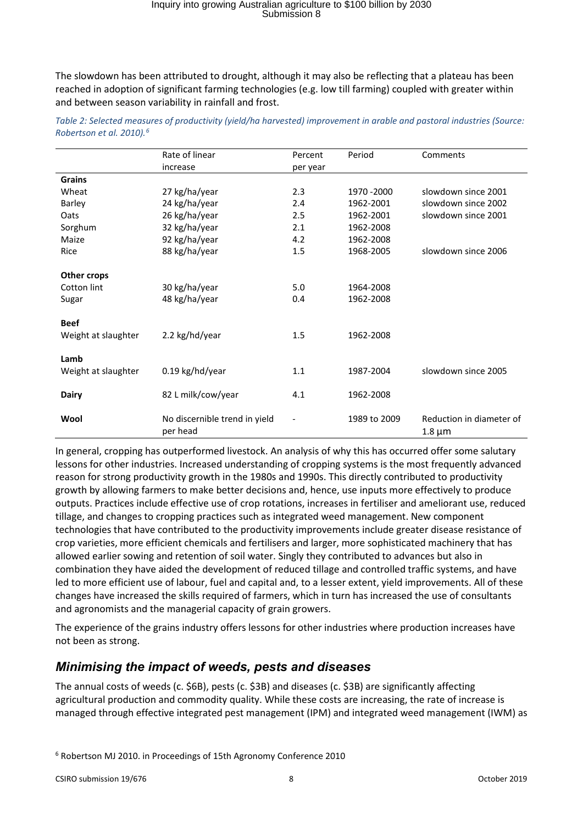The slowdown has been attributed to drought, although it may also be reflecting that a plateau has been reached in adoption of significant farming technologies (e.g. low till farming) coupled with greater within and between season variability in rainfall and frost.

|                     | Rate of linear                | Percent  | Period       | Comments                 |  |
|---------------------|-------------------------------|----------|--------------|--------------------------|--|
|                     | increase                      | per year |              |                          |  |
| <b>Grains</b>       |                               |          |              |                          |  |
| Wheat               | 27 kg/ha/year                 | 2.3      | 1970 - 2000  | slowdown since 2001      |  |
| Barley              | 24 kg/ha/year                 | 2.4      | 1962-2001    | slowdown since 2002      |  |
| Oats                | 26 kg/ha/year                 | 2.5      | 1962-2001    | slowdown since 2001      |  |
| Sorghum             | 32 kg/ha/year                 | 2.1      | 1962-2008    |                          |  |
| Maize               | 92 kg/ha/year                 | 4.2      | 1962-2008    |                          |  |
| Rice                | 88 kg/ha/year                 | 1.5      | 1968-2005    | slowdown since 2006      |  |
|                     |                               |          |              |                          |  |
| Other crops         |                               |          |              |                          |  |
| Cotton lint         | 30 kg/ha/year                 | 5.0      | 1964-2008    |                          |  |
| Sugar               | 48 kg/ha/year                 | 0.4      | 1962-2008    |                          |  |
|                     |                               |          |              |                          |  |
| <b>Beef</b>         |                               |          |              |                          |  |
| Weight at slaughter | 2.2 kg/hd/year                | 1.5      | 1962-2008    |                          |  |
|                     |                               |          |              |                          |  |
| Lamb                |                               |          |              |                          |  |
| Weight at slaughter | 0.19 kg/hd/year               | 1.1      | 1987-2004    | slowdown since 2005      |  |
|                     |                               |          |              |                          |  |
| <b>Dairy</b>        | 82 L milk/cow/year            | 4.1      | 1962-2008    |                          |  |
|                     |                               |          |              |                          |  |
| Wool                | No discernible trend in yield |          | 1989 to 2009 | Reduction in diameter of |  |
|                     | per head                      |          |              | $1.8 \mu m$              |  |

*Table 2: Selected measures of productivity (yield/ha harvested) improvement in arable and pastoral industries (Source: Robertson et al. 2010).[6](#page-7-1)*

In general, cropping has outperformed livestock. An analysis of why this has occurred offer some salutary lessons for other industries. Increased understanding of cropping systems is the most frequently advanced reason for strong productivity growth in the 1980s and 1990s. This directly contributed to productivity growth by allowing farmers to make better decisions and, hence, use inputs more effectively to produce outputs. Practices include effective use of crop rotations, increases in fertiliser and ameliorant use, reduced tillage, and changes to cropping practices such as integrated weed management. New component technologies that have contributed to the productivity improvements include greater disease resistance of crop varieties, more efficient chemicals and fertilisers and larger, more sophisticated machinery that has allowed earlier sowing and retention of soil water. Singly they contributed to advances but also in combination they have aided the development of reduced tillage and controlled traffic systems, and have led to more efficient use of labour, fuel and capital and, to a lesser extent, yield improvements. All of these changes have increased the skills required of farmers, which in turn has increased the use of consultants and agronomists and the managerial capacity of grain growers.

The experience of the grains industry offers lessons for other industries where production increases have not been as strong.

#### <span id="page-7-0"></span>*Minimising the impact of weeds, pests and diseases*

The annual costs of weeds (c. \$6B), pests (c. \$3B) and diseases (c. \$3B) are significantly affecting agricultural production and commodity quality. While these costs are increasing, the rate of increase is managed through effective integrated pest management (IPM) and integrated weed management (IWM) as

<span id="page-7-1"></span><sup>6</sup> Robertson MJ 2010. in Proceedings of 15th Agronomy Conference 2010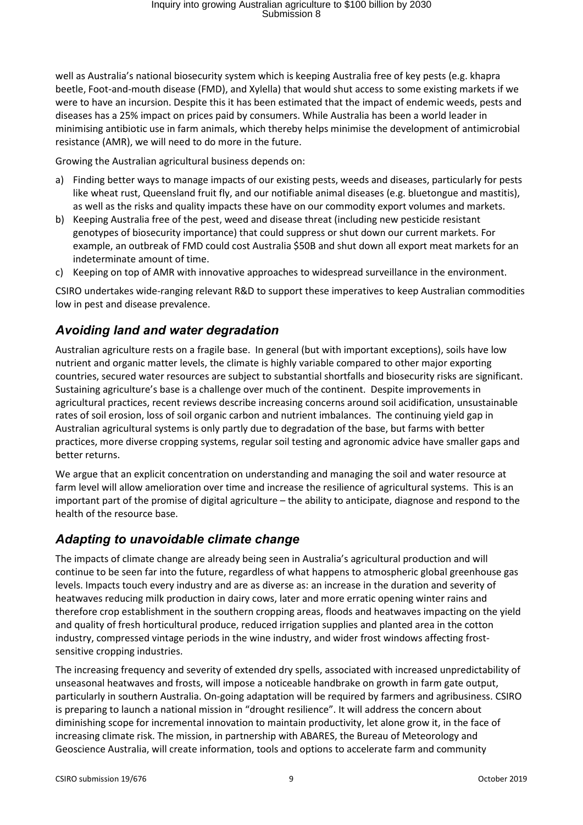well as Australia's national biosecurity system which is keeping Australia free of key pests (e.g. khapra beetle, Foot-and-mouth disease (FMD), and Xylella) that would shut access to some existing markets if we were to have an incursion. Despite this it has been estimated that the impact of endemic weeds, pests and diseases has a 25% impact on prices paid by consumers. While Australia has been a world leader in minimising antibiotic use in farm animals, which thereby helps minimise the development of antimicrobial resistance (AMR), we will need to do more in the future.

Growing the Australian agricultural business depends on:

- a) Finding better ways to manage impacts of our existing pests, weeds and diseases, particularly for pests like wheat rust, Queensland fruit fly, and our notifiable animal diseases (e.g. bluetongue and mastitis), as well as the risks and quality impacts these have on our commodity export volumes and markets.
- b) Keeping Australia free of the pest, weed and disease threat (including new pesticide resistant genotypes of biosecurity importance) that could suppress or shut down our current markets. For example, an outbreak of FMD could cost Australia \$50B and shut down all export meat markets for an indeterminate amount of time.
- c) Keeping on top of AMR with innovative approaches to widespread surveillance in the environment.

CSIRO undertakes wide-ranging relevant R&D to support these imperatives to keep Australian commodities low in pest and disease prevalence.

#### <span id="page-8-0"></span>*Avoiding land and water degradation*

Australian agriculture rests on a fragile base. In general (but with important exceptions), soils have low nutrient and organic matter levels, the climate is highly variable compared to other major exporting countries, secured water resources are subject to substantial shortfalls and biosecurity risks are significant. Sustaining agriculture's base is a challenge over much of the continent. Despite improvements in agricultural practices, recent reviews describe increasing concerns around soil acidification, unsustainable rates of soil erosion, loss of soil organic carbon and nutrient imbalances. The continuing yield gap in Australian agricultural systems is only partly due to degradation of the base, but farms with better practices, more diverse cropping systems, regular soil testing and agronomic advice have smaller gaps and better returns.

We argue that an explicit concentration on understanding and managing the soil and water resource at farm level will allow amelioration over time and increase the resilience of agricultural systems. This is an important part of the promise of digital agriculture – the ability to anticipate, diagnose and respond to the health of the resource base.

#### <span id="page-8-1"></span>*Adapting to unavoidable climate change*

The impacts of climate change are already being seen in Australia's agricultural production and will continue to be seen far into the future, regardless of what happens to atmospheric global greenhouse gas levels. Impacts touch every industry and are as diverse as: an increase in the duration and severity of heatwaves reducing milk production in dairy cows, later and more erratic opening winter rains and therefore crop establishment in the southern cropping areas, floods and heatwaves impacting on the yield and quality of fresh horticultural produce, reduced irrigation supplies and planted area in the cotton industry, compressed vintage periods in the wine industry, and wider frost windows affecting frostsensitive cropping industries.

The increasing frequency and severity of extended dry spells, associated with increased unpredictability of unseasonal heatwaves and frosts, will impose a noticeable handbrake on growth in farm gate output, particularly in southern Australia. On-going adaptation will be required by farmers and agribusiness. CSIRO is preparing to launch a national mission in "drought resilience". It will address the concern about diminishing scope for incremental innovation to maintain productivity, let alone grow it, in the face of increasing climate risk. The mission, in partnership with ABARES, the Bureau of Meteorology and Geoscience Australia, will create information, tools and options to accelerate farm and community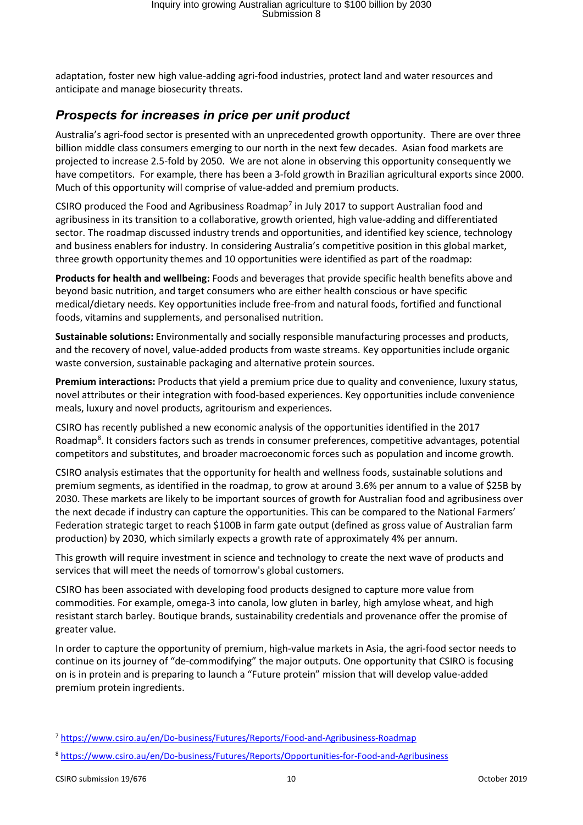adaptation, foster new high value-adding agri-food industries, protect land and water resources and anticipate and manage biosecurity threats.

#### <span id="page-9-0"></span>*Prospects for increases in price per unit product*

Australia's agri-food sector is presented with an unprecedented growth opportunity. There are over three billion middle class consumers emerging to our north in the next few decades. Asian food markets are projected to increase 2.5-fold by 2050. We are not alone in observing this opportunity consequently we have competitors. For example, there has been a 3-fold growth in Brazilian agricultural exports since 2000. Much of this opportunity will comprise of value-added and premium products.

CSIRO produced the Food and Agribusiness Roadmap<sup>[7](#page-9-1)</sup> in July 2017 to support Australian food and agribusiness in its transition to a collaborative, growth oriented, high value-adding and differentiated sector. The roadmap discussed industry trends and opportunities, and identified key science, technology and business enablers for industry. In considering Australia's competitive position in this global market, three growth opportunity themes and 10 opportunities were identified as part of the roadmap:

**Products for health and wellbeing:** Foods and beverages that provide specific health benefits above and beyond basic nutrition, and target consumers who are either health conscious or have specific medical/dietary needs. Key opportunities include free-from and natural foods, fortified and functional foods, vitamins and supplements, and personalised nutrition.

**Sustainable solutions:** Environmentally and socially responsible manufacturing processes and products, and the recovery of novel, value-added products from waste streams. Key opportunities include organic waste conversion, sustainable packaging and alternative protein sources.

**Premium interactions:** Products that yield a premium price due to quality and convenience, luxury status, novel attributes or their integration with food-based experiences. Key opportunities include convenience meals, luxury and novel products, agritourism and experiences.

CSIRO has recently published a new economic analysis of the opportunities identified in the 2017 Roadmap<sup>[8](#page-9-2)</sup>. It considers factors such as trends in consumer preferences, competitive advantages, potential competitors and substitutes, and broader macroeconomic forces such as population and income growth.

CSIRO analysis estimates that the opportunity for health and wellness foods, sustainable solutions and premium segments, as identified in the roadmap, to grow at around 3.6% per annum to a value of \$25B by 2030. These markets are likely to be important sources of growth for Australian food and agribusiness over the next decade if industry can capture the opportunities. This can be compared to the National Farmers' Federation strategic target to reach \$100B in farm gate output (defined as gross value of Australian farm production) by 2030, which similarly expects a growth rate of approximately 4% per annum.

This growth will require investment in science and technology to create the next wave of products and services that will meet the needs of tomorrow's global customers.

CSIRO has been associated with developing food products designed to capture more value from commodities. For example, omega-3 into canola, low gluten in barley, high amylose wheat, and high resistant starch barley. Boutique brands, sustainability credentials and provenance offer the promise of greater value.

In order to capture the opportunity of premium, high-value markets in Asia, the agri-food sector needs to continue on its journey of "de-commodifying" the major outputs. One opportunity that CSIRO is focusing on is in protein and is preparing to launch a "Future protein" mission that will develop value-added premium protein ingredients.

<span id="page-9-1"></span><sup>7</sup> <https://www.csiro.au/en/Do-business/Futures/Reports/Food-and-Agribusiness-Roadmap>

<span id="page-9-2"></span><sup>8</sup> <https://www.csiro.au/en/Do-business/Futures/Reports/Opportunities-for-Food-and-Agribusiness>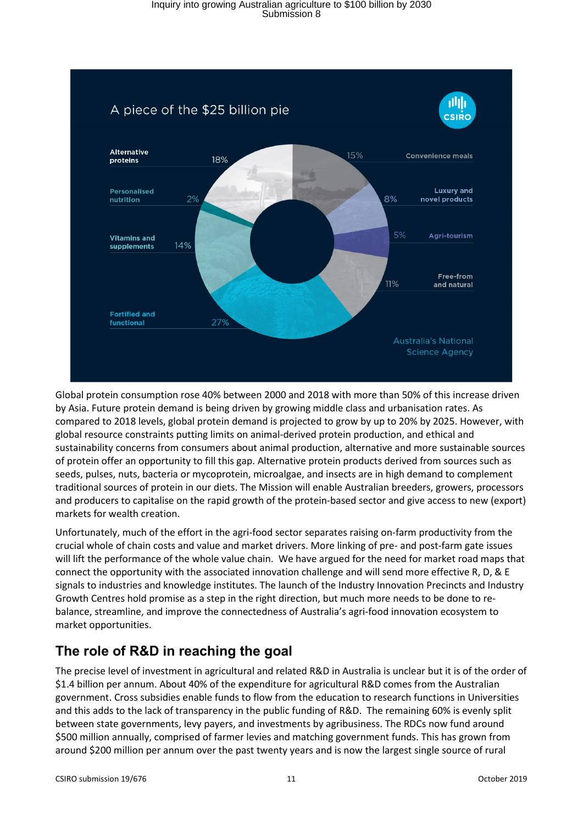

Global protein consumption rose 40% between 2000 and 2018 with more than 50% of this increase driven by Asia. Future protein demand is being driven by growing middle class and urbanisation rates. As compared to 2018 levels, global protein demand is projected to grow by up to 20% by 2025. However, with global resource constraints putting limits on animal-derived protein production, and ethical and sustainability concerns from consumers about animal production, alternative and more sustainable sources of protein offer an opportunity to fill this gap. Alternative protein products derived from sources such as seeds, pulses, nuts, bacteria or mycoprotein, microalgae, and insects are in high demand to complement traditional sources of protein in our diets. The Mission will enable Australian breeders, growers, processors and producers to capitalise on the rapid growth of the protein-based sector and give access to new (export) markets for wealth creation.

Unfortunately, much of the effort in the agri-food sector separates raising on-farm productivity from the crucial whole of chain costs and value and market drivers. More linking of pre- and post-farm gate issues will lift the performance of the whole value chain. We have argued for the need for market road maps that connect the opportunity with the associated innovation challenge and will send more effective R, D, & E signals to industries and knowledge institutes. The launch of the Industry Innovation Precincts and Industry Growth Centres hold promise as a step in the right direction, but much more needs to be done to rebalance, streamline, and improve the connectedness of Australia's agri-food innovation ecosystem to market opportunities.

## <span id="page-10-0"></span>**The role of R&D in reaching the goal**

The precise level of investment in agricultural and related R&D in Australia is unclear but it is of the order of \$1.4 billion per annum. About 40% of the expenditure for agricultural R&D comes from the Australian government. Cross subsidies enable funds to flow from the education to research functions in Universities and this adds to the lack of transparency in the public funding of R&D. The remaining 60% is evenly split between state governments, levy payers, and investments by agribusiness. The RDCs now fund around \$500 million annually, comprised of farmer levies and matching government funds. This has grown from around \$200 million per annum over the past twenty years and is now the largest single source of rural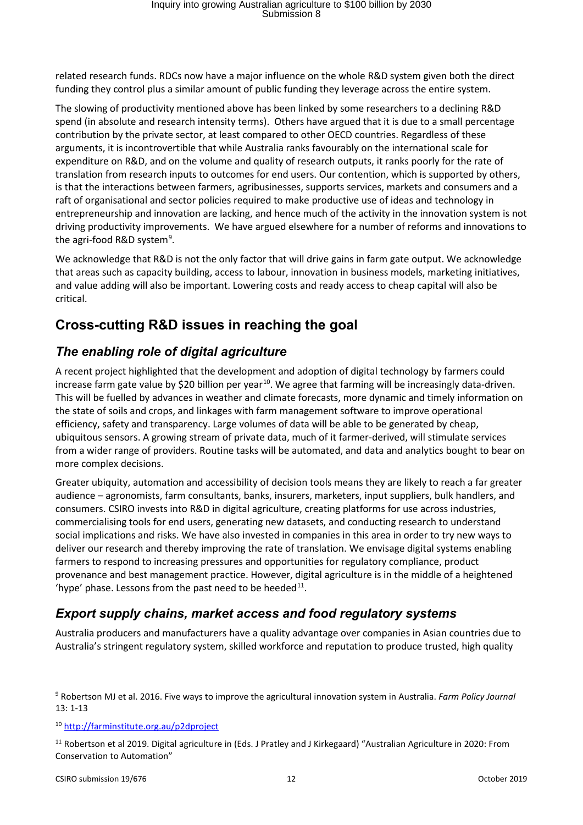related research funds. RDCs now have a major influence on the whole R&D system given both the direct funding they control plus a similar amount of public funding they leverage across the entire system.

The slowing of productivity mentioned above has been linked by some researchers to a declining R&D spend (in absolute and research intensity terms). Others have argued that it is due to a small percentage contribution by the private sector, at least compared to other OECD countries. Regardless of these arguments, it is incontrovertible that while Australia ranks favourably on the international scale for expenditure on R&D, and on the volume and quality of research outputs, it ranks poorly for the rate of translation from research inputs to outcomes for end users. Our contention, which is supported by others, is that the interactions between farmers, agribusinesses, supports services, markets and consumers and a raft of organisational and sector policies required to make productive use of ideas and technology in entrepreneurship and innovation are lacking, and hence much of the activity in the innovation system is not driving productivity improvements. We have argued elsewhere for a number of reforms and innovations to the agri-food R&D system<sup>[9](#page-11-3)</sup>.

We acknowledge that R&D is not the only factor that will drive gains in farm gate output. We acknowledge that areas such as capacity building, access to labour, innovation in business models, marketing initiatives, and value adding will also be important. Lowering costs and ready access to cheap capital will also be critical.

#### <span id="page-11-0"></span>**Cross-cutting R&D issues in reaching the goal**

#### <span id="page-11-1"></span>*The enabling role of digital agriculture*

A recent project highlighted that the development and adoption of digital technology by farmers could increase farm gate value by \$20 billion per year<sup>10</sup>. We agree that farming will be increasingly data-driven. This will be fuelled by advances in weather and climate forecasts, more dynamic and timely information on the state of soils and crops, and linkages with farm management software to improve operational efficiency, safety and transparency. Large volumes of data will be able to be generated by cheap, ubiquitous sensors. A growing stream of private data, much of it farmer-derived, will stimulate services from a wider range of providers. Routine tasks will be automated, and data and analytics bought to bear on more complex decisions.

Greater ubiquity, automation and accessibility of decision tools means they are likely to reach a far greater audience – agronomists, farm consultants, banks, insurers, marketers, input suppliers, bulk handlers, and consumers. CSIRO invests into R&D in digital agriculture, creating platforms for use across industries, commercialising tools for end users, generating new datasets, and conducting research to understand social implications and risks. We have also invested in companies in this area in order to try new ways to deliver our research and thereby improving the rate of translation. We envisage digital systems enabling farmers to respond to increasing pressures and opportunities for regulatory compliance, product provenance and best management practice. However, digital agriculture is in the middle of a heightened 'hype' phase. Lessons from the past need to be heeded $^{11}$ .

#### <span id="page-11-2"></span>*Export supply chains, market access and food regulatory systems*

Australia producers and manufacturers have a quality advantage over companies in Asian countries due to Australia's stringent regulatory system, skilled workforce and reputation to produce trusted, high quality

<span id="page-11-3"></span><sup>9</sup> Robertson MJ et al. 2016. Five ways to improve the agricultural innovation system in Australia. *Farm Policy Journal* 13: 1-13

<span id="page-11-4"></span><sup>10</sup> <http://farminstitute.org.au/p2dproject>

<span id="page-11-5"></span><sup>11</sup> Robertson et al 2019. Digital agriculture in (Eds. J Pratley and J Kirkegaard) "Australian Agriculture in 2020: From Conservation to Automation"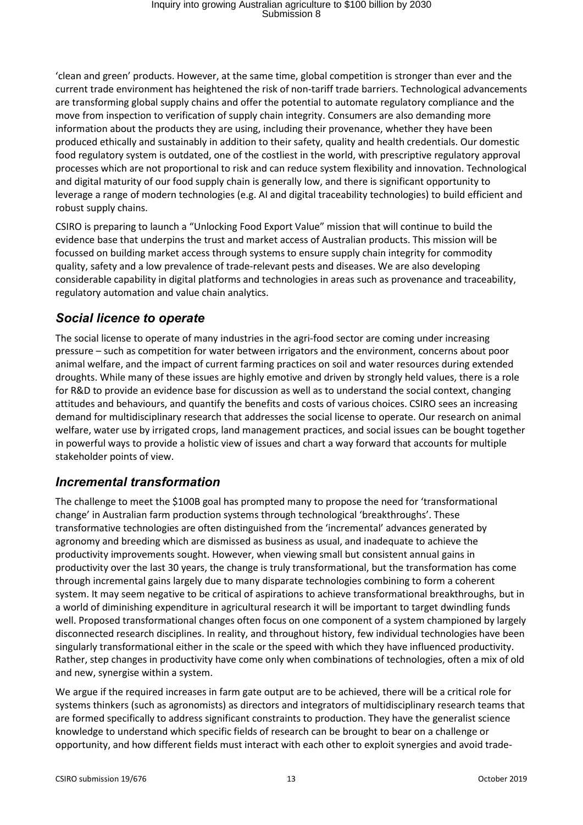'clean and green' products. However, at the same time, global competition is stronger than ever and the current trade environment has heightened the risk of non-tariff trade barriers. Technological advancements are transforming global supply chains and offer the potential to automate regulatory compliance and the move from inspection to verification of supply chain integrity. Consumers are also demanding more information about the products they are using, including their provenance, whether they have been produced ethically and sustainably in addition to their safety, quality and health credentials. Our domestic food regulatory system is outdated, one of the costliest in the world, with prescriptive regulatory approval processes which are not proportional to risk and can reduce system flexibility and innovation. Technological and digital maturity of our food supply chain is generally low, and there is significant opportunity to leverage a range of modern technologies (e.g. AI and digital traceability technologies) to build efficient and robust supply chains.

CSIRO is preparing to launch a "Unlocking Food Export Value" mission that will continue to build the evidence base that underpins the trust and market access of Australian products. This mission will be focussed on building market access through systems to ensure supply chain integrity for commodity quality, safety and a low prevalence of trade-relevant pests and diseases. We are also developing considerable capability in digital platforms and technologies in areas such as provenance and traceability, regulatory automation and value chain analytics.

#### <span id="page-12-0"></span>*Social licence to operate*

The social license to operate of many industries in the agri-food sector are coming under increasing pressure – such as competition for water between irrigators and the environment, concerns about poor animal welfare, and the impact of current farming practices on soil and water resources during extended droughts. While many of these issues are highly emotive and driven by strongly held values, there is a role for R&D to provide an evidence base for discussion as well as to understand the social context, changing attitudes and behaviours, and quantify the benefits and costs of various choices. CSIRO sees an increasing demand for multidisciplinary research that addresses the social license to operate. Our research on animal welfare, water use by irrigated crops, land management practices, and social issues can be bought together in powerful ways to provide a holistic view of issues and chart a way forward that accounts for multiple stakeholder points of view.

#### <span id="page-12-1"></span>*Incremental transformation*

The challenge to meet the \$100B goal has prompted many to propose the need for 'transformational change' in Australian farm production systems through technological 'breakthroughs'. These transformative technologies are often distinguished from the 'incremental' advances generated by agronomy and breeding which are dismissed as business as usual, and inadequate to achieve the productivity improvements sought. However, when viewing small but consistent annual gains in productivity over the last 30 years, the change is truly transformational, but the transformation has come through incremental gains largely due to many disparate technologies combining to form a coherent system. It may seem negative to be critical of aspirations to achieve transformational breakthroughs, but in a world of diminishing expenditure in agricultural research it will be important to target dwindling funds well. Proposed transformational changes often focus on one component of a system championed by largely disconnected research disciplines. In reality, and throughout history, few individual technologies have been singularly transformational either in the scale or the speed with which they have influenced productivity. Rather, step changes in productivity have come only when combinations of technologies, often a mix of old and new, synergise within a system.

We argue if the required increases in farm gate output are to be achieved, there will be a critical role for systems thinkers (such as agronomists) as directors and integrators of multidisciplinary research teams that are formed specifically to address significant constraints to production. They have the generalist science knowledge to understand which specific fields of research can be brought to bear on a challenge or opportunity, and how different fields must interact with each other to exploit synergies and avoid trade-